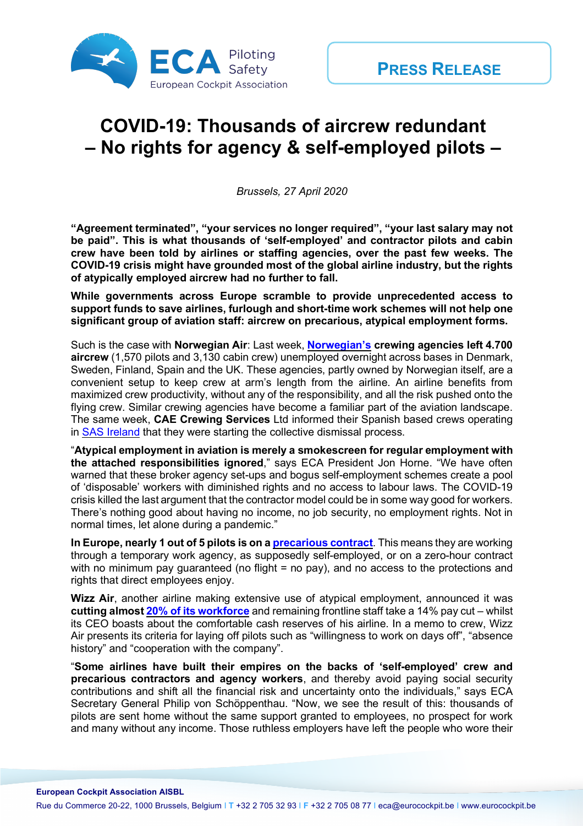

## **COVID-19: Thousands of aircrew redundant – No rights for agency & self-employed pilots –**

*Brussels, 27 April 2020*

**"Agreement terminated", "your services no longer required", "your last salary may not be paid". This is what thousands of 'self-employed' and contractor pilots and cabin crew have been told by airlines or staffing agencies, over the past few weeks. The COVID-19 crisis might have grounded most of the global airline industry, but the rights of atypically employed aircrew had no further to fall.**

**While governments across Europe scramble to provide unprecedented access to support funds to save airlines, furlough and short-time work schemes will not help one significant group of aviation staff: aircrew on precarious, atypical employment forms.**

Such is the case with **Norwegian Air**: Last week, **Norwegian's crewing agencies left 4.700 aircrew** (1,570 pilots and 3,130 cabin crew) unemployed overnight across bases in Denmark, Sweden, Finland, Spain and the UK. These agencies, partly owned by Norwegian itself, are a convenient setup to keep crew at arm's length from the airline. An airline benefits from maximized crew productivity, without any of the responsibility, and all the risk pushed onto the flying crew. Similar crewing agencies have become a familiar part of the aviation landscape. The same week, **CAE Crewing Services** Ltd informed their Spanish based crews operating in SAS Ireland that they were starting the collective dismissal process.

"**Atypical employment in aviation is merely a smokescreen for regular employment with the attached responsibilities ignored**," says ECA President Jon Horne. "We have often warned that these broker agency set-ups and bogus self-employment schemes create a pool of 'disposable' workers with diminished rights and no access to labour laws. The COVID-19 crisis killed the last argument that the contractor model could be in some way good for workers. There's nothing good about having no income, no job security, no employment rights. Not in normal times, let alone during a pandemic."

**In Europe, nearly 1 out of 5 pilots is on a precarious contract**. This means they are working through a temporary work agency, as supposedly self-employed, or on a zero-hour contract with no minimum pay guaranteed (no flight  $=$  no pay), and no access to the protections and rights that direct employees enjoy.

**Wizz Air**, another airline making extensive use of atypical employment, announced it was **cutting almost 20% of its workforce** and remaining frontline staff take a 14% pay cut – whilst its CEO boasts about the comfortable cash reserves of his airline. In a memo to crew, Wizz Air presents its criteria for laying off pilots such as "willingness to work on days off", "absence history" and "cooperation with the company".

"**Some airlines have built their empires on the backs of 'self-employed' crew and precarious contractors and agency workers**, and thereby avoid paying social security contributions and shift all the financial risk and uncertainty onto the individuals," says ECA Secretary General Philip von Schöppenthau. "Now, we see the result of this: thousands of pilots are sent home without the same support granted to employees, no prospect for work and many without any income. Those ruthless employers have left the people who wore their